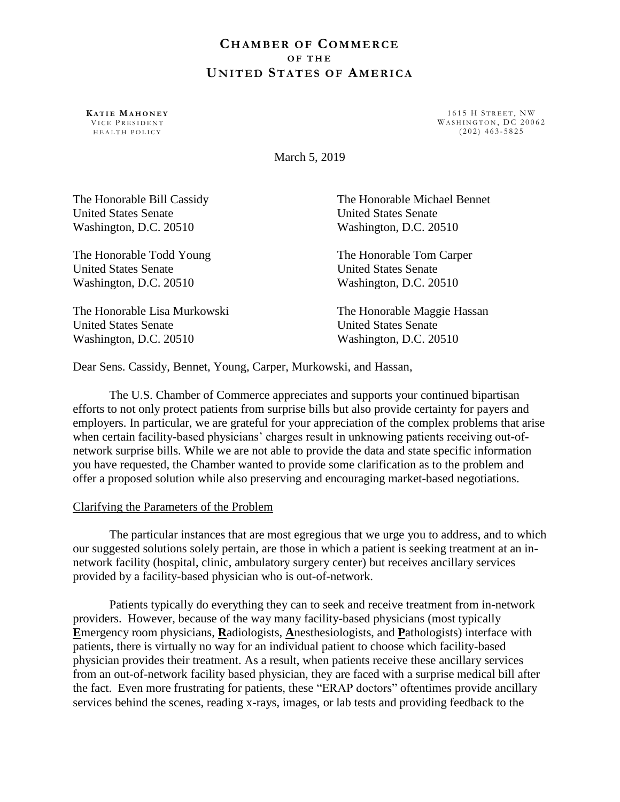# **CH A M B E R O F CO M M E R C E O F T H E UN I T E D ST A T E S O F AM E R I C A**

**KA T I E MA H O N E Y** VICE PRESIDENT H E ALTH POLICY

1615 H STREET, NW WASHINGTON, DC 20062  $(202)$  463-5825

March 5, 2019

| The Honorable Bill Cassidy   | The Honorable Michael Bennet |
|------------------------------|------------------------------|
| <b>United States Senate</b>  | <b>United States Senate</b>  |
| Washington, D.C. 20510       | Washington, D.C. 20510       |
| The Honorable Todd Young     | The Honorable Tom Carper     |
| <b>United States Senate</b>  | <b>United States Senate</b>  |
| Washington, D.C. 20510       | Washington, D.C. 20510       |
| The Honorable Lisa Murkowski | The Honorable Maggie Hassan  |
| <b>United States Senate</b>  | <b>United States Senate</b>  |
| Washington, D.C. 20510       | Washington, D.C. 20510       |

Dear Sens. Cassidy, Bennet, Young, Carper, Murkowski, and Hassan,

The U.S. Chamber of Commerce appreciates and supports your continued bipartisan efforts to not only protect patients from surprise bills but also provide certainty for payers and employers. In particular, we are grateful for your appreciation of the complex problems that arise when certain facility-based physicians' charges result in unknowing patients receiving out-ofnetwork surprise bills. While we are not able to provide the data and state specific information you have requested, the Chamber wanted to provide some clarification as to the problem and offer a proposed solution while also preserving and encouraging market-based negotiations.

### Clarifying the Parameters of the Problem

The particular instances that are most egregious that we urge you to address, and to which our suggested solutions solely pertain, are those in which a patient is seeking treatment at an innetwork facility (hospital, clinic, ambulatory surgery center) but receives ancillary services provided by a facility-based physician who is out-of-network.

Patients typically do everything they can to seek and receive treatment from in-network providers. However, because of the way many facility-based physicians (most typically **E**mergency room physicians, **R**adiologists, **A**nesthesiologists, and **P**athologists) interface with patients, there is virtually no way for an individual patient to choose which facility-based physician provides their treatment. As a result, when patients receive these ancillary services from an out-of-network facility based physician, they are faced with a surprise medical bill after the fact. Even more frustrating for patients, these "ERAP doctors" oftentimes provide ancillary services behind the scenes, reading x-rays, images, or lab tests and providing feedback to the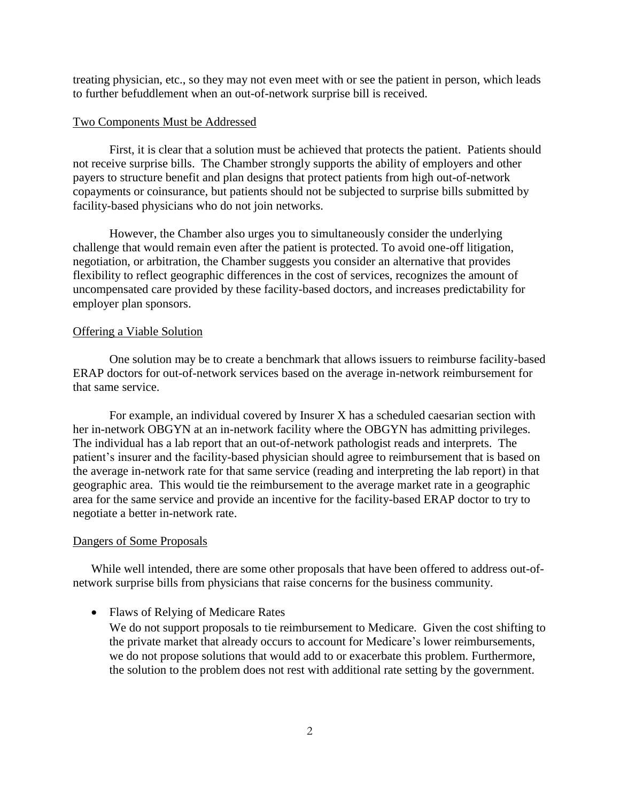treating physician, etc., so they may not even meet with or see the patient in person, which leads to further befuddlement when an out-of-network surprise bill is received.

## Two Components Must be Addressed

First, it is clear that a solution must be achieved that protects the patient. Patients should not receive surprise bills. The Chamber strongly supports the ability of employers and other payers to structure benefit and plan designs that protect patients from high out-of-network copayments or coinsurance, but patients should not be subjected to surprise bills submitted by facility-based physicians who do not join networks.

However, the Chamber also urges you to simultaneously consider the underlying challenge that would remain even after the patient is protected. To avoid one-off litigation, negotiation, or arbitration, the Chamber suggests you consider an alternative that provides flexibility to reflect geographic differences in the cost of services, recognizes the amount of uncompensated care provided by these facility-based doctors, and increases predictability for employer plan sponsors.

#### Offering a Viable Solution

One solution may be to create a benchmark that allows issuers to reimburse facility-based ERAP doctors for out-of-network services based on the average in-network reimbursement for that same service.

For example, an individual covered by Insurer X has a scheduled caesarian section with her in-network OBGYN at an in-network facility where the OBGYN has admitting privileges. The individual has a lab report that an out-of-network pathologist reads and interprets. The patient's insurer and the facility-based physician should agree to reimbursement that is based on the average in-network rate for that same service (reading and interpreting the lab report) in that geographic area. This would tie the reimbursement to the average market rate in a geographic area for the same service and provide an incentive for the facility-based ERAP doctor to try to negotiate a better in-network rate.

#### Dangers of Some Proposals

While well intended, there are some other proposals that have been offered to address out-ofnetwork surprise bills from physicians that raise concerns for the business community.

#### • Flaws of Relying of Medicare Rates

We do not support proposals to tie reimbursement to Medicare. Given the cost shifting to the private market that already occurs to account for Medicare's lower reimbursements, we do not propose solutions that would add to or exacerbate this problem. Furthermore, the solution to the problem does not rest with additional rate setting by the government.